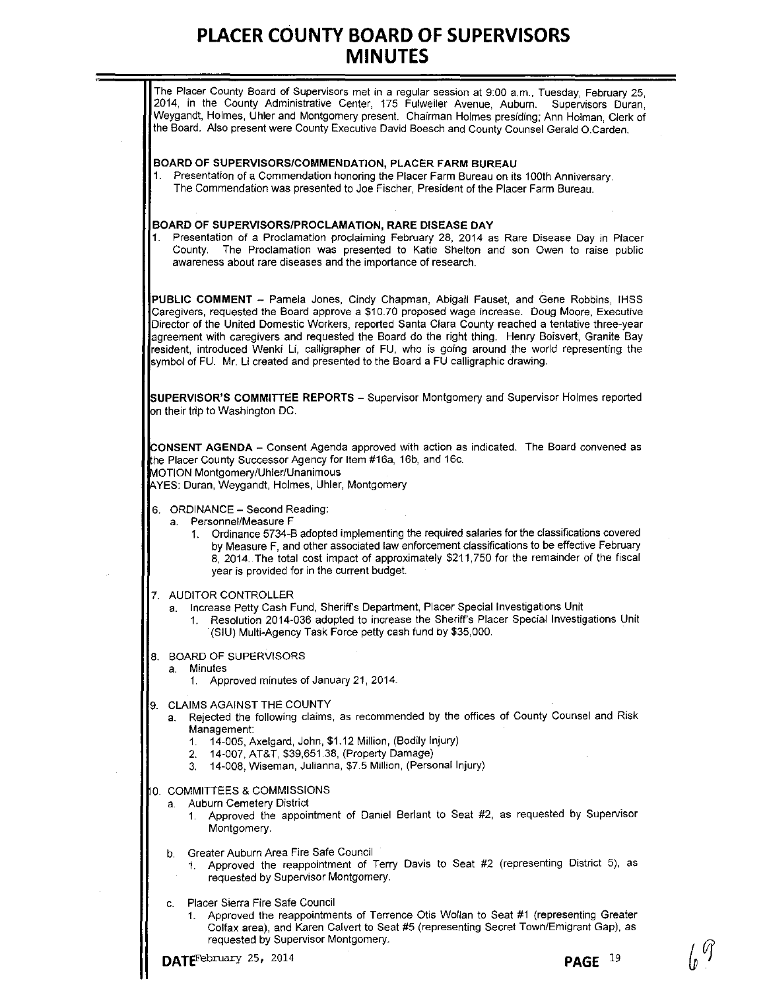|    | The Placer County Board of Supervisors met in a regular session at 9:00 a.m., Tuesday, February 25,<br>2014, in the County Administrative Center, 175 Fulweiler Avenue, Auburn.<br>Supervisors Duran,<br>Weygandt, Holmes, Uhler and Montgomery present. Chairman Holmes presiding; Ann Holman, Clerk of<br>the Board. Also present were County Executive David Boesch and County Counsel Gerald O.Carden.                                                                                                                                                                                     |
|----|------------------------------------------------------------------------------------------------------------------------------------------------------------------------------------------------------------------------------------------------------------------------------------------------------------------------------------------------------------------------------------------------------------------------------------------------------------------------------------------------------------------------------------------------------------------------------------------------|
| 1. | BOARD OF SUPERVISORS/COMMENDATION, PLACER FARM BUREAU<br>Presentation of a Commendation honoring the Placer Farm Bureau on its 100th Anniversary.<br>The Commendation was presented to Joe Fischer, President of the Placer Farm Bureau.                                                                                                                                                                                                                                                                                                                                                       |
| 1. | BOARD OF SUPERVISORS/PROCLAMATION, RARE DISEASE DAY<br>Presentation of a Proclamation proclaiming February 28, 2014 as Rare Disease Day in Placer<br>County. The Proclamation was presented to Katie Shelton and son Owen to raise public<br>awareness about rare diseases and the importance of research.                                                                                                                                                                                                                                                                                     |
|    | PUBLIC COMMENT - Pamela Jones, Cindy Chapman, Abigail Fauset, and Gene Robbins, IHSS<br>Caregivers, requested the Board approve a \$10.70 proposed wage increase. Doug Moore, Executive<br>Director of the United Domestic Workers, reported Santa Clara County reached a tentative three-year<br>agreement with caregivers and requested the Board do the right thing. Henry Boisvert, Granite Bay<br>resident, introduced Wenki Li, calligrapher of FU, who is going around the world representing the<br>symbol of FU. Mr. Li created and presented to the Board a FU calligraphic drawing. |
|    | SUPERVISOR'S COMMITTEE REPORTS - Supervisor Montgomery and Supervisor Holmes reported<br>on their trip to Washington DC.                                                                                                                                                                                                                                                                                                                                                                                                                                                                       |
|    | <b>CONSENT AGENDA</b> - Consent Agenda approved with action as indicated. The Board convened as<br>the Placer County Successor Agency for Item #16a, 16b, and 16c.<br>MOTION Montgomery/Uhler/Unanimous<br>AYES: Duran, Weygandt, Holmes, Uhler, Montgomery                                                                                                                                                                                                                                                                                                                                    |
|    | 6. ORDINANCE - Second Reading:<br>Personnel/Measure F<br>a.<br>Ordinance 5734-B adopted implementing the required salaries for the classifications covered<br>1.<br>by Measure F, and other associated law enforcement classifications to be effective February<br>8, 2014. The total cost impact of approximately \$211,750 for the remainder of the fiscal<br>year is provided for in the current budget.                                                                                                                                                                                    |
|    | 7. AUDITOR CONTROLLER<br>Increase Petty Cash Fund, Sheriff's Department, Placer Special Investigations Unit<br>a.<br>Resolution 2014-036 adopted to increase the Sheriff's Placer Special Investigations Unit<br>1.<br>(SIU) Multi-Agency Task Force petty cash fund by \$35,000.                                                                                                                                                                                                                                                                                                              |
|    | <b>BOARD OF SUPERVISORS</b><br>Minutes<br>а.<br>1. Approved minutes of January 21, 2014.                                                                                                                                                                                                                                                                                                                                                                                                                                                                                                       |
|    | 9. CLAIMS AGAINST THE COUNTY<br>Rejected the following claims, as recommended by the offices of County Counsel and Risk<br>а.<br>Management:<br>14-005, Axelgard, John, \$1.12 Million, (Bodily Injury)<br>1.<br>14-007, AT&T, \$39,651.38, (Property Damage)<br>2.<br>14-008, Wiseman, Julianna, \$7.5 Million, (Personal Injury)<br>3.                                                                                                                                                                                                                                                       |
|    | 0. COMMITTEES & COMMISSIONS<br><b>Auburn Cemetery District</b><br>a.<br>Approved the appointment of Daniel Berlant to Seat #2, as requested by Supervisor<br>1.<br>Montgomery.                                                                                                                                                                                                                                                                                                                                                                                                                 |
|    | Greater Auburn Area Fire Safe Council<br>b.<br>1. Approved the reappointment of Terry Davis to Seat #2 (representing District 5), as<br>requested by Supervisor Montgomery.                                                                                                                                                                                                                                                                                                                                                                                                                    |
|    | <b>Placer Sierra Fire Safe Council</b><br>C.<br>1. Approved the reappointments of Terrence Otis Wollan to Seat #1 (representing Greater<br>Colfax area), and Karen Calvert to Seat #5 (representing Secret Town/Emigrant Gap), as                                                                                                                                                                                                                                                                                                                                                              |

 $\sim$ 

**requested by Supervisor Montgomery.** 

 $\int_0 \widehat{q}$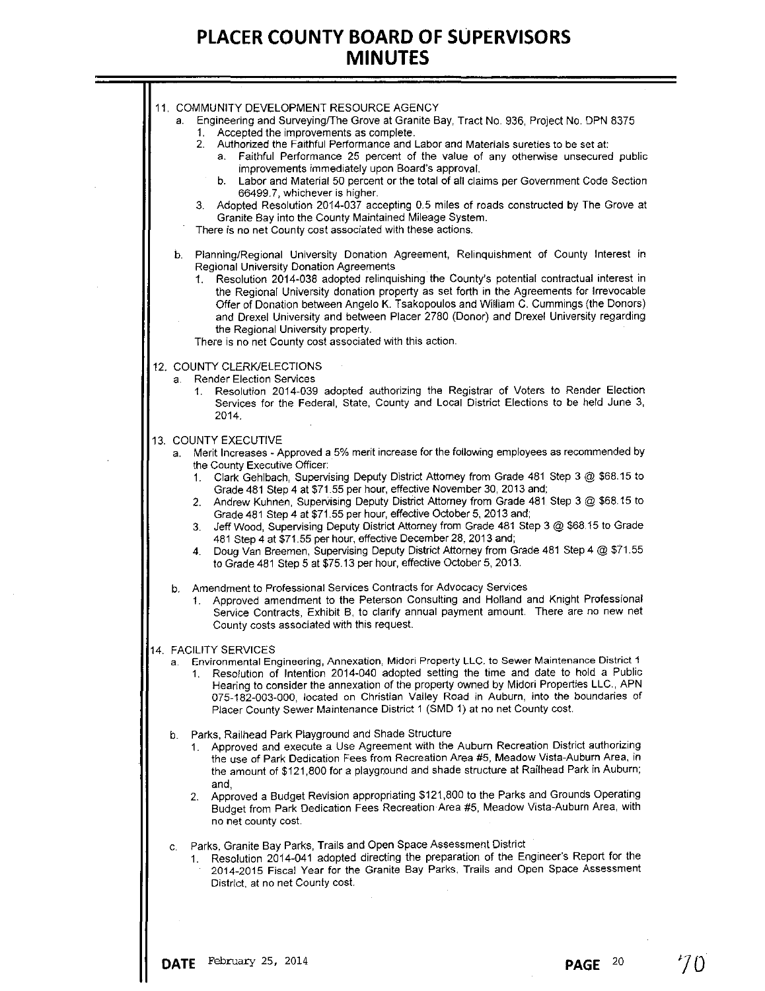| 11. COMMUNITY DEVELOPMENT RESOURCE AGENCY<br>Engineering and Surveying/The Grove at Granite Bay, Tract No. 936, Project No. DPN 8375<br>a.<br>1. Accepted the improvements as complete.<br>Authorized the Faithful Performance and Labor and Materials sureties to be set at:<br>2.<br>Faithful Performance 25 percent of the value of any otherwise unsecured public<br>а.<br>improvements immediately upon Board's approval.<br>b. Labor and Material 50 percent or the total of all claims per Government Code Section<br>66499.7, whichever is higher.<br>3. Adopted Resolution 2014-037 accepting 0.5 miles of roads constructed by The Grove at<br>Granite Bay into the County Maintained Mileage System.<br>There is no net County cost associated with these actions.<br>Planning/Regional University Donation Agreement, Relinquishment of County Interest in<br>b.<br>Regional University Donation Agreements<br>Resolution 2014-038 adopted relinquishing the County's potential contractual interest in<br>1.<br>the Regional University donation property as set forth in the Agreements for Irrevocable<br>Offer of Donation between Angelo K. Tsakopoulos and William C. Cummings (the Donors)<br>and Drexel University and between Placer 2780 (Donor) and Drexel University regarding<br>the Regional University property. |
|---------------------------------------------------------------------------------------------------------------------------------------------------------------------------------------------------------------------------------------------------------------------------------------------------------------------------------------------------------------------------------------------------------------------------------------------------------------------------------------------------------------------------------------------------------------------------------------------------------------------------------------------------------------------------------------------------------------------------------------------------------------------------------------------------------------------------------------------------------------------------------------------------------------------------------------------------------------------------------------------------------------------------------------------------------------------------------------------------------------------------------------------------------------------------------------------------------------------------------------------------------------------------------------------------------------------------------------------|
| There is no net County cost associated with this action.                                                                                                                                                                                                                                                                                                                                                                                                                                                                                                                                                                                                                                                                                                                                                                                                                                                                                                                                                                                                                                                                                                                                                                                                                                                                                    |
| 12. COUNTY CLERK/ELECTIONS<br>a. Render Election Services<br>1. Resolution 2014-039 adopted authorizing the Registrar of Voters to Render Election<br>Services for the Federal, State, County and Local District Elections to be held June 3,<br>2014.                                                                                                                                                                                                                                                                                                                                                                                                                                                                                                                                                                                                                                                                                                                                                                                                                                                                                                                                                                                                                                                                                      |
| 13. COUNTY EXECUTIVE<br>a. Merit Increases - Approved a 5% merit increase for the following employees as recommended by<br>the County Executive Officer:<br>Clark Gehlbach, Supervising Deputy District Attorney from Grade 481 Step 3 @ \$68.15 to<br>1.<br>Grade 481 Step 4 at \$71.55 per hour, effective November 30, 2013 and;<br>2. Andrew Kuhnen, Supervising Deputy District Attorney from Grade 481 Step 3 @ \$68.15 to<br>Grade 481 Step 4 at \$71.55 per hour, effective October 5, 2013 and;<br>Jeff Wood, Supervising Deputy District Attorney from Grade 481 Step 3 @ \$68.15 to Grade<br>3.<br>481 Step 4 at \$71.55 per hour, effective December 28, 2013 and;<br>4. Doug Van Breemen, Supervising Deputy District Attorney from Grade 481 Step 4 @ \$71.55<br>to Grade 481 Step 5 at \$75.13 per hour, effective October 5, 2013.                                                                                                                                                                                                                                                                                                                                                                                                                                                                                          |
| b. Amendment to Professional Services Contracts for Advocacy Services<br>1. Approved amendment to the Peterson Consulting and Holland and Knight Professional<br>Service Contracts, Exhibit B, to clarify annual payment amount. There are no new net<br>County costs associated with this request.                                                                                                                                                                                                                                                                                                                                                                                                                                                                                                                                                                                                                                                                                                                                                                                                                                                                                                                                                                                                                                         |
| 14. FACILITY SERVICES<br>Environmental Engineering, Annexation, Midori Property LLC, to Sewer Maintenance District 1<br>а.<br>Resolution of Intention 2014-040 adopted setting the time and date to hold a Public<br>1.<br>Hearing to consider the annexation of the property owned by Midori Properties LLC., APN<br>075-182-003-000, located on Christian Valley Road in Auburn, into the boundaries of<br>Placer County Sewer Maintenance District 1 (SMD 1) at no net County cost.                                                                                                                                                                                                                                                                                                                                                                                                                                                                                                                                                                                                                                                                                                                                                                                                                                                      |
| b. Parks, Railhead Park Playground and Shade Structure<br>1. Approved and execute a Use Agreement with the Auburn Recreation District authorizing<br>the use of Park Dedication Fees from Recreation Area #5, Meadow Vista-Auburn Area, in<br>the amount of \$121,800 for a playground and shade structure at Railhead Park in Auburn;<br>and,<br>Approved a Budget Revision appropriating \$121,800 to the Parks and Grounds Operating<br>2.<br>Budget from Park Dedication Fees Recreation Area #5, Meadow Vista-Auburn Area, with<br>no net county cost.                                                                                                                                                                                                                                                                                                                                                                                                                                                                                                                                                                                                                                                                                                                                                                                 |
| Parks, Granite Bay Parks, Trails and Open Space Assessment District<br>C.<br>Resolution 2014-041 adopted directing the preparation of the Engineer's Report for the<br>1.<br>2014-2015 Fiscal Year for the Granite Bay Parks, Trails and Open Space Assessment<br>District, at no net County cost.                                                                                                                                                                                                                                                                                                                                                                                                                                                                                                                                                                                                                                                                                                                                                                                                                                                                                                                                                                                                                                          |
|                                                                                                                                                                                                                                                                                                                                                                                                                                                                                                                                                                                                                                                                                                                                                                                                                                                                                                                                                                                                                                                                                                                                                                                                                                                                                                                                             |

÷.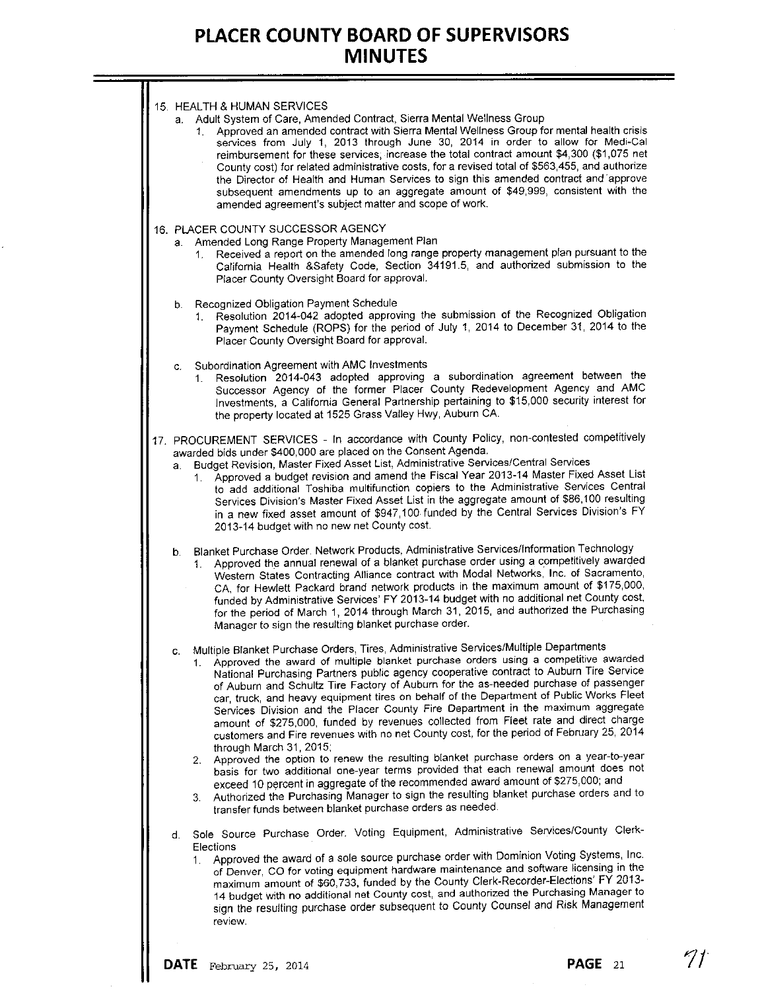| d. | Sole Source Purchase Order. Voting Equipment, Administrative Services/County Clerk-<br>Elections<br>1. Approved the award of a sole source purchase order with Dominion Voting Systems, Inc.<br>of Denver, CO for voting equipment hardware maintenance and software licensing in the<br>maximum amount of \$60,733, funded by the County Clerk-Recorder-Elections' FY 2013-<br>14 budget with no additional net County cost, and authorized the Purchasing Manager to<br>sign the resulting purchase order subsequent to County Counsel and Risk Management<br>review.                                                                                                                                                                                                                                                                                                                                                                                                                                                                                                                             |  |
|----|-----------------------------------------------------------------------------------------------------------------------------------------------------------------------------------------------------------------------------------------------------------------------------------------------------------------------------------------------------------------------------------------------------------------------------------------------------------------------------------------------------------------------------------------------------------------------------------------------------------------------------------------------------------------------------------------------------------------------------------------------------------------------------------------------------------------------------------------------------------------------------------------------------------------------------------------------------------------------------------------------------------------------------------------------------------------------------------------------------|--|
|    | 1. Approved the award of multiple blanket purchase orders using a competitive awarded<br>National Purchasing Partners public agency cooperative contract to Auburn Tire Service<br>of Auburn and Schultz Tire Factory of Auburn for the as-needed purchase of passenger<br>car, truck, and heavy equipment tires on behalf of the Department of Public Works Fleet<br>Services Division and the Placer County Fire Department in the maximum aggregate<br>amount of \$275,000, funded by revenues collected from Fieet rate and direct charge<br>customers and Fire revenues with no net County cost, for the period of February 25, 2014<br>through March 31, 2015;<br>2. Approved the option to renew the resulting blanket purchase orders on a year-to-year<br>basis for two additional one-year terms provided that each renewal amount does not<br>exceed 10 percent in aggregate of the recommended award amount of \$275,000; and<br>3. Authorized the Purchasing Manager to sign the resulting blanket purchase orders and to<br>transfer funds between blanket purchase orders as needed. |  |
| c. | b. Blanket Purchase Order. Network Products, Administrative Services/Information Technology<br>1. Approved the annual renewal of a blanket purchase order using a competitively awarded<br>Western States Contracting Alliance contract with Modal Networks, Inc. of Sacramento,<br>CA, for Hewlett Packard brand network products in the maximum amount of \$175,000,<br>funded by Administrative Services' FY 2013-14 budget with no additional net County cost,<br>for the period of March 1, 2014 through March 31, 2015, and authorized the Purchasing<br>Manager to sign the resulting blanket purchase order.<br>Multiple Blanket Purchase Orders, Tires, Administrative Services/Multiple Departments                                                                                                                                                                                                                                                                                                                                                                                       |  |
| а. | 17. PROCUREMENT SERVICES - In accordance with County Policy, non-contested competitively<br>awarded bids under \$400,000 are placed on the Consent Agenda.<br>Budget Revision, Master Fixed Asset List, Administrative Services/Central Services<br>1. Approved a budget revision and amend the Fiscal Year 2013-14 Master Fixed Asset List<br>to add additional Toshiba multifunction copiers to the Administrative Services Central<br>Services Division's Master Fixed Asset List in the aggregate amount of \$86,100 resulting<br>in a new fixed asset amount of \$947,100 funded by the Central Services Division's FY<br>2013-14 budget with no new net County cost.                                                                                                                                                                                                                                                                                                                                                                                                                          |  |
|    | c. Subordination Agreement with AMC Investments<br>1. Resolution 2014-043 adopted approving a subordination agreement between the<br>Successor Agency of the former Placer County Redevelopment Agency and AMC<br>Investments, a California General Partnership pertaining to \$15,000 security interest for<br>the property located at 1525 Grass Valley Hwy, Auburn CA.                                                                                                                                                                                                                                                                                                                                                                                                                                                                                                                                                                                                                                                                                                                           |  |
|    | b. Recognized Obligation Payment Schedule<br>1. Resolution 2014-042 adopted approving the submission of the Recognized Obligation<br>Payment Schedule (ROPS) for the period of July 1, 2014 to December 31, 2014 to the<br>Placer County Oversight Board for approval.                                                                                                                                                                                                                                                                                                                                                                                                                                                                                                                                                                                                                                                                                                                                                                                                                              |  |
|    | 16. PLACER COUNTY SUCCESSOR AGENCY<br>a. Amended Long Range Property Management Plan<br>1. Received a report on the amended long range property management plan pursuant to the<br>California Health &Safety Code, Section 34191.5, and authorized submission to the<br>Placer County Oversight Board for approval.                                                                                                                                                                                                                                                                                                                                                                                                                                                                                                                                                                                                                                                                                                                                                                                 |  |
|    | 15. HEALTH & HUMAN SERVICES<br>a. Adult System of Care, Amended Contract, Sierra Mental Wellness Group<br>Approved an amended contract with Sierra Mental Wellness Group for mental health crisis<br>1.<br>services from July 1, 2013 through June 30, 2014 in order to allow for Medi-Cal<br>reimbursement for these services; increase the total contract amount \$4,300 (\$1,075 net<br>County cost) for related administrative costs, for a revised total of \$563,455, and authorize<br>the Director of Health and Human Services to sign this amended contract and approve<br>subsequent amendments up to an aggregate amount of \$49,999, consistent with the<br>amended agreement's subject matter and scope of work.                                                                                                                                                                                                                                                                                                                                                                       |  |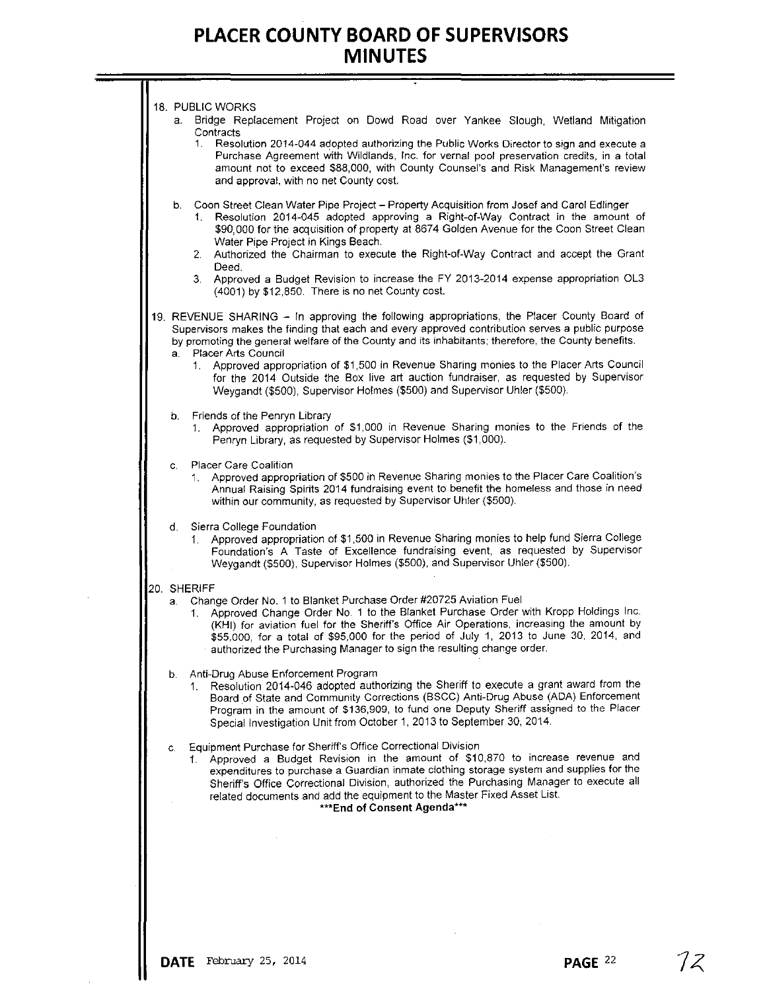т.

| a.          | 18. PUBLIC WORKS<br>Bridge Replacement Project on Dowd Road over Yankee Slough, Wetland Mitigation<br>Contracts<br>Resolution 2014-044 adopted authorizing the Public Works Director to sign and execute a<br>1.<br>Purchase Agreement with Wildlands, Inc. for vernal pool preservation credits, in a total<br>amount not to exceed \$88,000, with County Counsel's and Risk Management's review<br>and approval, with no net County cost.     |
|-------------|-------------------------------------------------------------------------------------------------------------------------------------------------------------------------------------------------------------------------------------------------------------------------------------------------------------------------------------------------------------------------------------------------------------------------------------------------|
|             | b. Coon Street Clean Water Pipe Project - Property Acquisition from Josef and Carol Edlinger<br>Resolution 2014-045 adopted approving a Right-of-Way Contract in the amount of<br>1.<br>\$90,000 for the acquisition of property at 8674 Golden Avenue for the Coon Street Clean<br>Water Pipe Project in Kings Beach.<br>2. Authorized the Chairman to execute the Right-of-Way Contract and accept the Grant                                  |
|             | Deed.<br>3. Approved a Budget Revision to increase the FY 2013-2014 expense appropriation OL3<br>(4001) by \$12,850. There is no net County cost.                                                                                                                                                                                                                                                                                               |
|             | 19. REVENUE SHARING - In approving the following appropriations, the Placer County Board of<br>Supervisors makes the finding that each and every approved contribution serves a public purpose<br>by promoting the general welfare of the County and its inhabitants; therefore, the County benefits.                                                                                                                                           |
| а. .        | Placer Arts Council<br>1. Approved appropriation of \$1,500 in Revenue Sharing monies to the Placer Arts Council<br>for the 2014 Outside the Box live art auction fundraiser, as requested by Supervisor<br>Weygandt (\$500), Supervisor Holmes (\$500) and Supervisor Uhler (\$500).                                                                                                                                                           |
|             | b. Friends of the Penryn Library<br>1. Approved appropriation of \$1,000 in Revenue Sharing monies to the Friends of the<br>Penryn Library, as requested by Supervisor Holmes (\$1,000).                                                                                                                                                                                                                                                        |
| C.          | Placer Care Coalition<br>1. Approved appropriation of \$500 in Revenue Sharing monies to the Placer Care Coalition's<br>Annual Raising Spirits 2014 fundraising event to benefit the homeless and those in need<br>within our community, as requested by Supervisor Uhler (\$500).                                                                                                                                                              |
| d.          | Sierra College Foundation<br>1. Approved appropriation of \$1,500 in Revenue Sharing monies to help fund Sierra College<br>Foundation's A Taste of Excellence fundraising event, as requested by Supervisor<br>Weygandt (\$500), Supervisor Holmes (\$500), and Supervisor Uhler (\$500).                                                                                                                                                       |
| 20. SHERIFF |                                                                                                                                                                                                                                                                                                                                                                                                                                                 |
| а. -        | Change Order No. 1 to Blanket Purchase Order #20725 Aviation Fuel<br>1. Approved Change Order No. 1 to the Blanket Purchase Order with Kropp Holdings Inc.<br>(KHI) for aviation fuel for the Sheriff's Office Air Operations, increasing the amount by<br>\$55,000, for a total of \$95,000 for the period of July 1, 2013 to June 30, 2014, and<br>authorized the Purchasing Manager to sign the resulting change order.                      |
| b.          | Anti-Drug Abuse Enforcement Program<br>1. Resolution 2014-046 adopted authorizing the Sheriff to execute a grant award from the<br>Board of State and Community Corrections (BSCC) Anti-Drug Abuse (ADA) Enforcement<br>Program in the amount of \$136,909, to fund one Deputy Sheriff assigned to the Placer<br>Special Investigation Unit from October 1, 2013 to September 30, 2014.                                                         |
| C.<br>1.    | Equipment Purchase for Sheriff's Office Correctional Division<br>Approved a Budget Revision in the amount of \$10,870 to increase revenue and<br>expenditures to purchase a Guardian inmate clothing storage system and supplies for the<br>Sheriff's Office Correctional Division, authorized the Purchasing Manager to execute all<br>related documents and add the equipment to the Master Fixed Asset List.<br>*** End of Consent Agenda*** |
|             |                                                                                                                                                                                                                                                                                                                                                                                                                                                 |
|             |                                                                                                                                                                                                                                                                                                                                                                                                                                                 |
|             |                                                                                                                                                                                                                                                                                                                                                                                                                                                 |
|             |                                                                                                                                                                                                                                                                                                                                                                                                                                                 |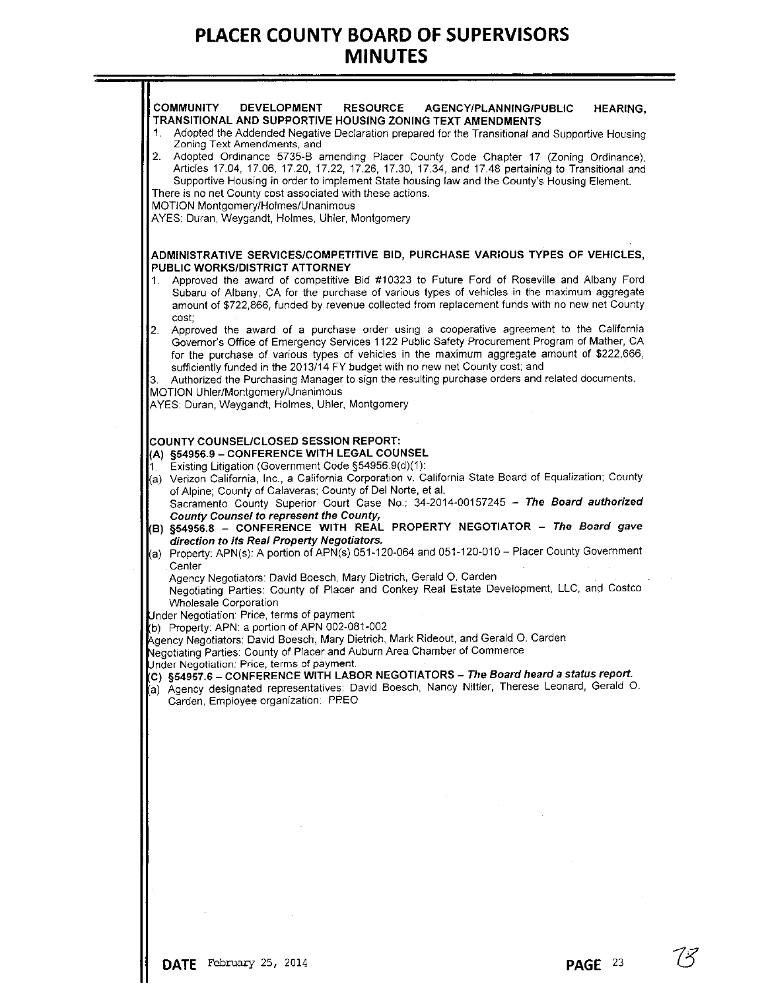|                | (a) Agency designated representatives: David Boesch, Nancy Nittler, Therese Leonard, Gerald O.<br>Carden, Employee organization: PPEO                                                                                                                                                                  |  |
|----------------|--------------------------------------------------------------------------------------------------------------------------------------------------------------------------------------------------------------------------------------------------------------------------------------------------------|--|
|                | Agency Negotiators: David Boesch, Mary Dietrich, Mark Rideout, and Gerald O. Carden<br>Negotiating Parties: County of Placer and Auburn Area Chamber of Commerce<br>Under Negotiation: Price, terms of payment.<br>(C) §54957.6 – CONFERENCE WITH LABOR NEGOTIATORS – The Board heard a status report. |  |
|                | Wholesale Corporation<br>Under Negotiation: Price, terms of payment<br>(b) Property: APN: a portion of APN 002-081-002                                                                                                                                                                                 |  |
|                | Agency Negotiators: David Boesch, Mary Dietrich, Gerald O. Carden<br>Negotiating Parties: County of Placer and Conkey Real Estate Development, LLC, and Costco                                                                                                                                         |  |
|                | direction to its Real Property Negotiators.<br>(a) Property: APN(s): A portion of APN(s) 051-120-064 and 051-120-010 - Placer County Government<br>Center                                                                                                                                              |  |
|                | Sacramento County Superior Court Case No.: 34-2014-00157245 - The Board authorized<br>County Counsel to represent the County,<br>(B) §54956.8 - CONFERENCE WITH REAL PROPERTY NEGOTIATOR - The Board gave                                                                                              |  |
|                | Existing Litigation (Government Code §54956.9(d)(1):<br>(a) Verizon California, Inc., a California Corporation v. California State Board of Equalization; County<br>of Alpine; County of Calaveras; County of Del Norte, et al.                                                                        |  |
|                | <b>COUNTY COUNSEL/CLOSED SESSION REPORT:</b><br>(A) §54956.9 - CONFERENCE WITH LEGAL COUNSEL                                                                                                                                                                                                           |  |
|                | MOTION Uhler/Montgomery/Unanimous<br>AYES: Duran, Weygandt, Holmes, Uhler, Montgomery                                                                                                                                                                                                                  |  |
| 3.             | sufficiently funded in the 2013/14 FY budget with no new net County cost; and<br>Authorized the Purchasing Manager to sign the resulting purchase orders and related documents.                                                                                                                        |  |
| 2 <sub>1</sub> | cost:<br>Approved the award of a purchase order using a cooperative agreement to the California<br>Governor's Office of Emergency Services 1122 Public Safety Procurement Program of Mather, CA<br>for the purchase of various types of vehicles in the maximum aggregate amount of \$222,666,         |  |
|                | Subaru of Albany, CA for the purchase of various types of vehicles in the maximum aggregate<br>amount of \$722,866, funded by revenue collected from replacement funds with no new net County                                                                                                          |  |
| 1.             | ADMINISTRATIVE SERVICES/COMPETITIVE BID, PURCHASE VARIOUS TYPES OF VEHICLES,<br>PUBLIC WORKS/DISTRICT ATTORNEY<br>Approved the award of competitive Bid #10323 to Future Ford of Roseville and Albany Ford                                                                                             |  |
|                | AYES: Duran, Weygandt, Holmes, Uhler, Montgomery                                                                                                                                                                                                                                                       |  |
|                | Supportive Housing in order to implement State housing law and the County's Housing Element.<br>There is no net County cost associated with these actions.<br>MOTION Montgomery/Holmes/Unanimous                                                                                                       |  |
| 2.             | Zoning Text Amendments, and<br>Adopted Ordinance 5735-B amending Placer County Code Chapter 17 (Zoning Ordinance),<br>Articles 17.04, 17.06, 17.20, 17.22, 17.26, 17.30, 17.34, and 17.48 pertaining to Transitional and                                                                               |  |
| 1.             | Adopted the Addended Negative Declaration prepared for the Transitional and Supportive Housing                                                                                                                                                                                                         |  |